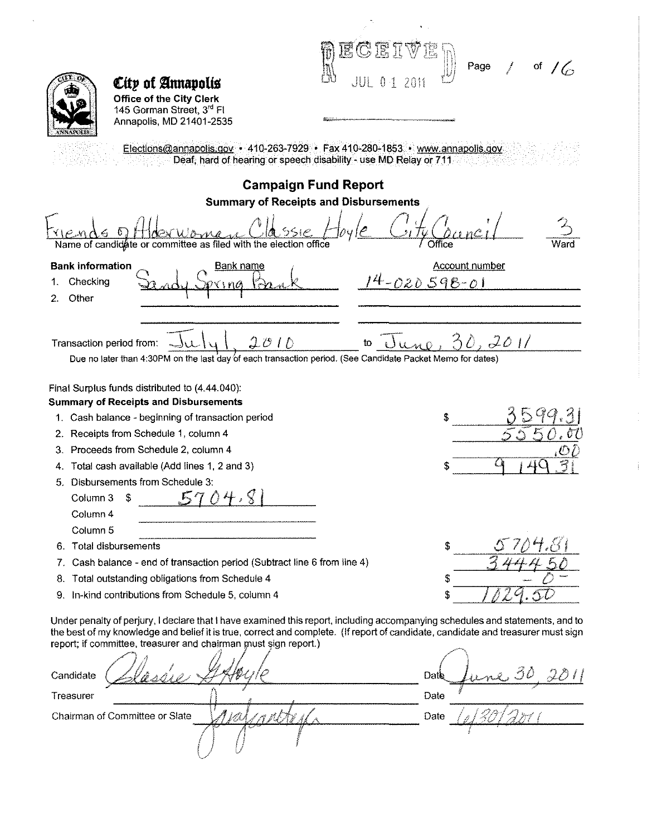|                                                                                                            | ECEI                                                                                                                                                                                                                                                              |
|------------------------------------------------------------------------------------------------------------|-------------------------------------------------------------------------------------------------------------------------------------------------------------------------------------------------------------------------------------------------------------------|
|                                                                                                            | Page<br>of                                                                                                                                                                                                                                                        |
| City of Annapolis                                                                                          | $\begin{smallmatrix}&&1\\&&1\\1&&1\\&&1\end{smallmatrix}$                                                                                                                                                                                                         |
| <b>Office of the City Clerk</b>                                                                            |                                                                                                                                                                                                                                                                   |
| 145 Gorman Street, 3rd Fl<br>Annapolis, MD 21401-2535                                                      |                                                                                                                                                                                                                                                                   |
|                                                                                                            | Elections@annapolis.gov • 410-263-7929 • Fax 410-280-1853 • www.annapolis.gov<br>Deaf, hard of hearing or speech disability - use MD Relay or 711                                                                                                                 |
|                                                                                                            | <b>Campaign Fund Report</b>                                                                                                                                                                                                                                       |
|                                                                                                            | <b>Summary of Receipts and Disbursements</b>                                                                                                                                                                                                                      |
| Name of candidate or committee as filed with the election office                                           | Office                                                                                                                                                                                                                                                            |
| <b>Bank information</b><br><u>Bank name</u>                                                                | <b>Account number</b>                                                                                                                                                                                                                                             |
| Checking<br>1.                                                                                             | <u>4-020598-01</u>                                                                                                                                                                                                                                                |
| Other<br>2.                                                                                                |                                                                                                                                                                                                                                                                   |
|                                                                                                            |                                                                                                                                                                                                                                                                   |
|                                                                                                            |                                                                                                                                                                                                                                                                   |
| 2010<br>Transaction period from:                                                                           | 2011                                                                                                                                                                                                                                                              |
| Due no later than 4:30PM on the last day of each transaction period. (See Candidate Packet Memo for dates) |                                                                                                                                                                                                                                                                   |
| Final Surplus funds distributed to (4.44.040).                                                             |                                                                                                                                                                                                                                                                   |
| <b>Summary of Receipts and Disbursements</b>                                                               |                                                                                                                                                                                                                                                                   |
| 1. Cash balance - beginning of transaction period                                                          |                                                                                                                                                                                                                                                                   |
| 2. Receipts from Schedule 1, column 4                                                                      |                                                                                                                                                                                                                                                                   |
| 3. Proceeds from Schedule 2, column 4                                                                      |                                                                                                                                                                                                                                                                   |
| Total cash available (Add lines 1, 2 and 3)<br>4.                                                          |                                                                                                                                                                                                                                                                   |
| 5. Disbursements from Schedule 3:                                                                          |                                                                                                                                                                                                                                                                   |
| Column 3                                                                                                   |                                                                                                                                                                                                                                                                   |
| Column 4                                                                                                   |                                                                                                                                                                                                                                                                   |
| Column <sub>5</sub>                                                                                        |                                                                                                                                                                                                                                                                   |
| Total disbursements<br>6.                                                                                  | \$                                                                                                                                                                                                                                                                |
| Cash balance - end of transaction period (Subtract line 6 from line 4)<br>7.                               |                                                                                                                                                                                                                                                                   |
| Total outstanding obligations from Schedule 4<br>8.                                                        |                                                                                                                                                                                                                                                                   |
| In-kind contributions from Schedule 5, column 4<br>9.                                                      |                                                                                                                                                                                                                                                                   |
|                                                                                                            |                                                                                                                                                                                                                                                                   |
|                                                                                                            | Under penalty of perjury, I declare that I have examined this report, including accompanying schedules and statements, and to<br>the best of my knowledge and belief it is true, correct and complete. (If report of candidate, candidate and treasurer must sign |
| report; if committee, treasurer and chairman must sign report.)                                            |                                                                                                                                                                                                                                                                   |
|                                                                                                            |                                                                                                                                                                                                                                                                   |
|                                                                                                            | Date                                                                                                                                                                                                                                                              |
|                                                                                                            |                                                                                                                                                                                                                                                                   |
|                                                                                                            | Date                                                                                                                                                                                                                                                              |
|                                                                                                            |                                                                                                                                                                                                                                                                   |
| Treasurer                                                                                                  | Date                                                                                                                                                                                                                                                              |
| Candidate<br>Chairman of Committee or Slate                                                                |                                                                                                                                                                                                                                                                   |

 $\frac{1}{2}$ 

 $\frac{1}{4}$ 

 $\ddot{\phantom{a}}$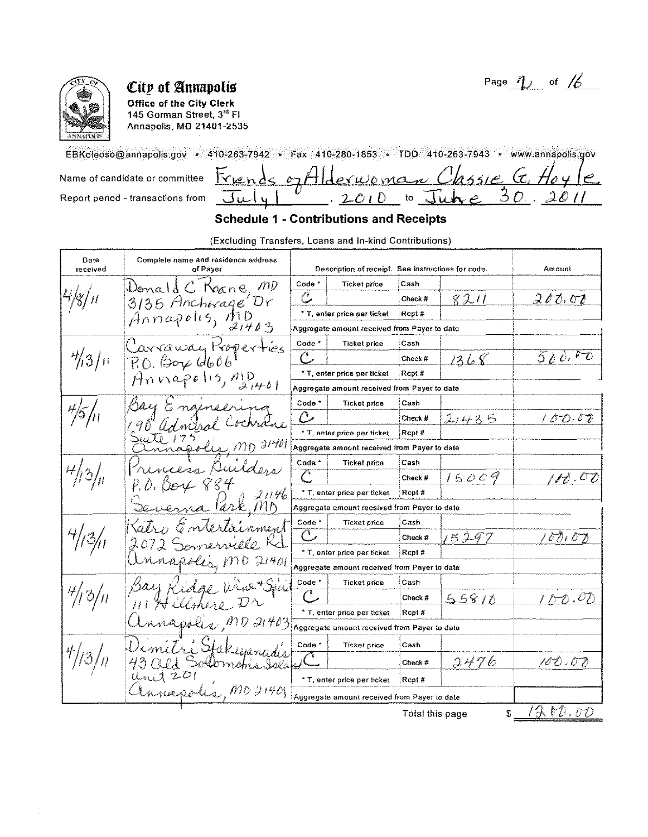

**Office of the City Clerk** 145 Gorman Street, 3<sup>rd</sup> FI Annapolis, MD 21401-2535

EBKoleoso@annapolis.gov • 410-263-7942 • Fax 410-280-1853 • TDD 410-263-7943 • www.annapolis.gov

erwoman Classie G. Hoy<br>2010 to June 30, 26  $\overline{\mathrm{K}}$ len Name of candidate or committee  $\sim$ Report period - transactions from  $-20$ بالبال

Page  $\eta$  of  $\cancel{6}$ 

## **Schedule 1 - Contributions and Receipts**

(Excluding Transfers, Loans and In-kind Contributions)

| Date<br>received                  | Complete name and residence address<br>of Payer           |                   | Description of receipt. See instructions for code. |                 |       | Amount     |
|-----------------------------------|-----------------------------------------------------------|-------------------|----------------------------------------------------|-----------------|-------|------------|
|                                   | Donald C Roane, MD                                        | Code <sup>*</sup> | <b>Ticket price</b>                                | Cash            |       |            |
|                                   | 3135 Anchorage Dr                                         | $\mathbb{C}$      |                                                    | Check #         | 8211  | 200.00     |
|                                   | Annapolis, $\mathcal{M}$                                  |                   | * T, enter price per ticket                        | Rcpt#           |       |            |
|                                   | ヌ1463                                                     |                   | Aggregate amount received from Payer to date       |                 |       |            |
|                                   | Carraway Koperties                                        | Code <sup>*</sup> | <b>Ticket price</b>                                | Cash            |       |            |
| $\frac{4}{3}$   11                | $RO.$ (Some Id606                                         | C                 |                                                    | Check #         | 1368  | 500.70     |
|                                   |                                                           |                   | * T, enter price per ticket                        | Rcpt#           |       |            |
|                                   | $An \cap \mathbb{C}$ polis, $\mathbb{C}^D_{\mathbb{C}^1}$ |                   | Aggregate amount received from Payer to date       |                 |       |            |
|                                   | $\ell$ ry<br>Gnamel                                       | Code <sup>*</sup> | <b>Ticket price</b>                                | Cash            |       |            |
|                                   | CNAU                                                      | C                 |                                                    | Check #         | 21435 | 10 D. O V  |
|                                   |                                                           |                   | * T, enter price per ticket                        | Rcpt#           |       |            |
|                                   | $\mu_{\!\scriptscriptstyle 4}$ MD 2140                    |                   | Aggregate amount received from Payer to date       |                 |       |            |
|                                   | cesa Duiders                                              | Code *            | Ticket price                                       | Cash            |       |            |
|                                   | Be4 884                                                   |                   |                                                    | Check #         | 15009 | $H$ ,00    |
|                                   | 21146                                                     |                   | * T, enter price per ticket                        | Rcpt#           |       |            |
|                                   | Park, MB                                                  |                   | Aggregate amount received from Payer to date       |                 |       |            |
|                                   | Enterlainment                                             | Code <sup>*</sup> | <b>Ticket price</b>                                | Cash            |       |            |
| $\frac{3}{4}$                     | omerville Kd                                              | C                 |                                                    | Check #         | 15297 | 00107      |
|                                   |                                                           |                   | * T, enter price per ticket                        | Rcpt#           |       |            |
|                                   | MD 21401                                                  |                   | Aggregate amount received from Payer to date       |                 |       |            |
|                                   | ine + Sen                                                 | Code <sup>*</sup> | <b>Ticket price</b>                                | Cash            |       |            |
| $^{\circ}\mathcal{O}/\mathcal{H}$ |                                                           |                   |                                                    | Check #         | 55810 | 0.07       |
|                                   |                                                           |                   | * T. enter price per ticket                        | Rcpt#           |       |            |
|                                   | capolic MD 21403                                          |                   | Aggregate amount received from Payer to date       |                 |       |            |
|                                   | sangdis                                                   | Code *            | <b>Ticket price</b>                                | Cash            |       |            |
| '31                               |                                                           |                   |                                                    | Check #         | 2476  | 10 0 : 0 0 |
|                                   | 20                                                        |                   | * T, enter price per ticket                        | Rept#           |       |            |
|                                   | poles, MD 21401                                           |                   | Aggregate amount received from Payer to date       |                 |       |            |
|                                   |                                                           |                   |                                                    | Total this page | \$    | 1200.00    |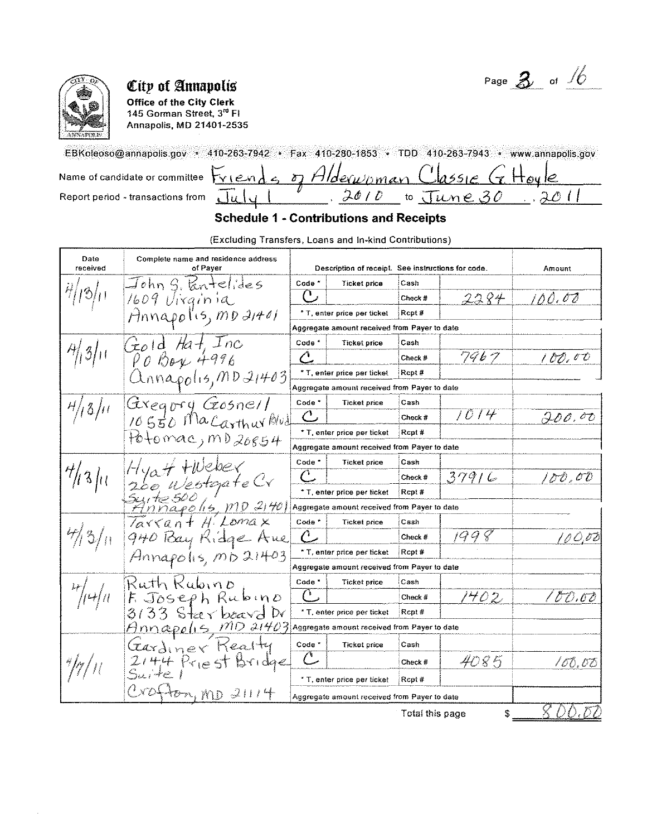Page  $3$  of  $\frac{1}{6}$ 



Office of the City Clerk 145 Gorman Street, 3<sup>rd</sup> Fl Annapolis, MD 21401-2535

EBKoleoso@annapolis.gov • 410-263-7942 • Fax 410-280-1853 • TDD 410-263-7943 • www.annapolis.gov Name of candidate or committee

Report period - transactions from

|  | $S$ viends, of Alderwoman Classic G Houle |             |  |
|--|-------------------------------------------|-------------|--|
|  |                                           | $Im\rho$ 30 |  |

## **Schedule 1 - Contributions and Receipts**

(Excluding Transfers, Loans and In-kind Contributions)

| Date<br>received          | Complete name and residence address<br>of Paver                                                                     |                   | Description of receipt. See instructions for code. |                 |       | Amount      |
|---------------------------|---------------------------------------------------------------------------------------------------------------------|-------------------|----------------------------------------------------|-----------------|-------|-------------|
|                           | $\exists$ ohn $g$ , kntelides                                                                                       | Code <sup>-</sup> | Ticket price                                       | Cash            |       |             |
|                           | 1609 Uirginia                                                                                                       | Ľ                 |                                                    | Check #         | 2284  | 100.00      |
|                           | Hnnapolis, mo 21401                                                                                                 |                   | * T, enter price per ticket                        | Rcpt#           |       |             |
|                           |                                                                                                                     |                   | Aggregate amount received from Payer to date       |                 |       |             |
|                           | $(z_0)$ d Hat. Inc                                                                                                  | Code <sup>*</sup> | <b>Ticket price</b>                                | Cash            |       |             |
| $\frac{\pi}{3}$           | $\rho_{0}$ Bay 4996                                                                                                 | Ĉ                 |                                                    | Check #         | 7967  | 100,00      |
|                           | Unnapolis, MDI4403                                                                                                  |                   | * T, enter price per ticket                        | Rept#           |       |             |
|                           |                                                                                                                     |                   | Aggregate amount received from Payer to date       |                 |       |             |
| $^{H}/\mid 3/\mid t \mid$ | Giveary Gosnell                                                                                                     | Code <sup>*</sup> | <b>Ticket price</b>                                | Cash            |       |             |
|                           | 10550 Ma Carthur Blud                                                                                               | $\mathcal{C}$     |                                                    | Check #         | 1014  | 200.00      |
|                           | $P_0$ tomac, m $D_{20854}$                                                                                          |                   | * T, enter price per ticket                        | Rcpt#           |       |             |
|                           |                                                                                                                     |                   | Aggregate amount received from Payer to date       |                 |       |             |
|                           | Hyatt flueber                                                                                                       | Code <sup>*</sup> | <b>Ticket price</b>                                | Cash            |       |             |
| $^4\!1311$                | 260 WestgateCr                                                                                                      | $\bigcap$         |                                                    | Check #         | 379/6 | 100,00      |
|                           |                                                                                                                     |                   | * T, enter price per ticket                        | Rept #          |       |             |
|                           | Syrte 500 1<br>Annapolis, mp 21401                                                                                  |                   | Aggregate amount received from Payer to date       |                 |       |             |
|                           | Tarrant Hi Lomax                                                                                                    | Code <sup>-</sup> | <b>Ticket price</b>                                | Cash            |       |             |
| 13/11                     | 940 Bay Kidge Aue                                                                                                   | $\ell$            |                                                    | Check #         | 1998  | 10 O.OB     |
|                           | Annapohs, m 521403                                                                                                  |                   | * T, enter price per ticket                        | Rcpt#           |       |             |
|                           |                                                                                                                     |                   | Aggregate amount received from Payer to date       |                 |       |             |
|                           | Ruth Kubino                                                                                                         | Code <sup>*</sup> | <b>Ticket price</b>                                | Cash            |       |             |
|                           | F. Joseph Rubino                                                                                                    | $\bigcap$         |                                                    | Check #         | 1402  | 100.00      |
|                           | $3/33$ Starboard Dr                                                                                                 |                   | * T, enter price per ticket                        | Rept#           |       |             |
|                           | $\hat{H}$ mm $\hat{\alpha}$ Pe $\hat{I}$ 15, $\hat{M}D$ $\hat{J}$ 1403 Aggregate amount received from Payer to date |                   |                                                    |                 |       |             |
|                           | Cardiner Kealty                                                                                                     | Code *            | <b>Ticket price</b>                                | Cash            |       |             |
|                           | $2144$ Priest Bridge                                                                                                |                   |                                                    | Check #         | 4085  | 100,00      |
|                           | Suite l                                                                                                             |                   | * T, enter price per ticket                        | Rcpt#           |       |             |
|                           | $l'$ ND4<br>ton, MD 21114                                                                                           |                   | Aggregate amount received from Payer to date       |                 |       |             |
|                           |                                                                                                                     |                   |                                                    | Total this nane | ę.    | 8 D.D. 157) |

Total this page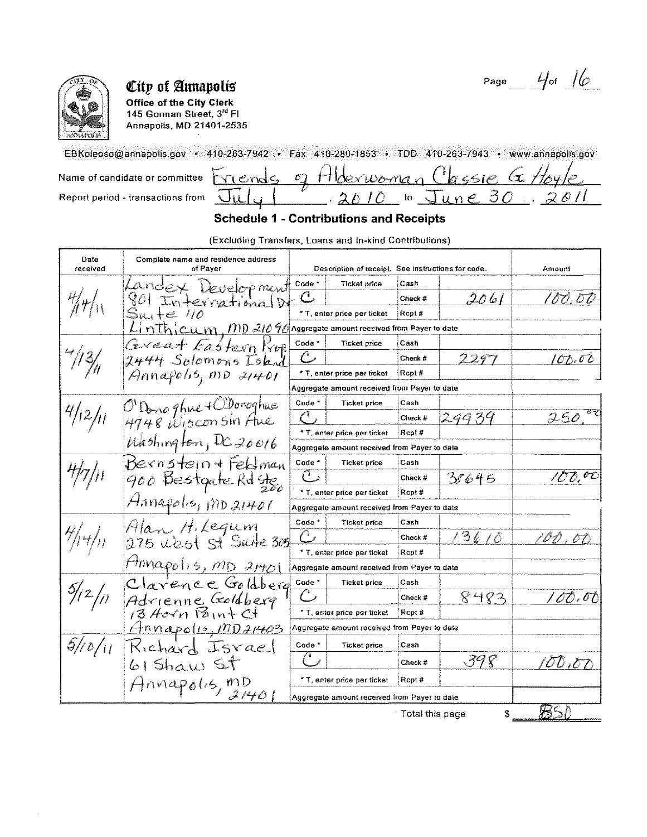

Office of the City Clerk 145 Gorman Street, 3<sup>rd</sup> FI **Annapolis, MD 21401-2535** 

EBKoleoso@annapolis.gov • 410-263-7942 • Fax 410-280-1853 • TDD 410-263-7943 • www.annapolis.gov  $_{155}e$ ,  $G$ Name of candidate or committee Hldexwonnen  $\sigma$  $Hvend$ Ä Report period - transactions from  $\lambda$ 30  $\overline{J}$ *une*  $\ddot{\phantom{1}}$ to Ju

## **Schedule 1 - Contributions and Receipts**

(Excluding Transfers, Loans and In-kind Contributions)

| Date<br>received    | Complete name and residence address<br>of Payer                                |                   | Description of receipt. See instructions for code. |                 |       | Amount            |
|---------------------|--------------------------------------------------------------------------------|-------------------|----------------------------------------------------|-----------------|-------|-------------------|
|                     | Landex Development                                                             | Code <sup>*</sup> | Ticket price                                       | Cash            |       |                   |
|                     | 801 InternationalD                                                             | $\mathsf C$       |                                                    | Check #         | 2061  | 100,00            |
|                     | $S$ uite 110                                                                   |                   | * T, enter price per ticket                        | Rcpt #          |       |                   |
|                     | $\mathcal{L}$ in thicum, MD 21090 Aggregate amount received from Payer to date |                   |                                                    |                 |       |                   |
|                     | Gereat Eastern Kop                                                             | Code <sup>*</sup> | <b>Ticket price</b>                                | Cash            |       |                   |
| 7/3/                | 2444 Solomons Iskad                                                            | $\mathcal{C}$     |                                                    | Check $\pi$     | 2297  | 100,00            |
|                     | $\beta$ nnafohs, mD 21401                                                      |                   | * T, enter price per ticket                        | Rept#           |       |                   |
|                     |                                                                                |                   | Aggregate amount received from Payer to date       |                 |       |                   |
|                     |                                                                                | Code <sup>*</sup> | Ticket price                                       | Cash            |       |                   |
| 4/12/11             | O'Dong ghue + Woroghus<br>4748 Wisconsin Aue                                   | €                 |                                                    | Check #         | 24939 | 250.              |
|                     |                                                                                |                   | * T, enter price per ticket                        | Rept#           |       |                   |
|                     | $U$ <i>Abshington, DC 20016</i>                                                |                   | Aggregate amount received from Payer to date       |                 |       |                   |
|                     | Bernstein + Feldman                                                            | Code <sup>*</sup> | <b>Ticket price</b>                                | Cash            |       |                   |
|                     | 900 Bestgate Rd Ste                                                            | $\mathcal C$ ,    |                                                    | Check #         | 38645 | 100.00            |
|                     |                                                                                |                   | * T, enter price per ticket                        | Ropt#           |       |                   |
|                     | Annapolis, mp 21401                                                            |                   | Aggregate amount received from Payer to date       |                 |       |                   |
|                     | Alan H. Legum                                                                  | Code <sup>-</sup> | Ticket price                                       | Casn            |       |                   |
|                     | 275 West St Suite 305                                                          |                   |                                                    | Check #         | 13610 | '00 , 00          |
|                     |                                                                                |                   | * T, enter price per ticket                        | Rept#           |       |                   |
|                     | $H$ nnapolis, $m_D$ 21401                                                      |                   | Aggregate amount received from Payer to date       |                 |       |                   |
|                     | Clarence Goldberg                                                              | Code <sup>*</sup> | <b>Ticket price</b>                                | Cash            |       |                   |
| $\frac{5}{2}$ /2/11 | Adrienne Goldberg<br>13 Horn Point Ct                                          |                   |                                                    | $Check$ #       | 8483  | / OO . OO         |
|                     |                                                                                |                   | * T, enter price per ticket                        | Ropt#           |       |                   |
|                     | <u> Hnnapolis, MD21403</u>                                                     |                   | Aggregate amount received from Payer to date       |                 |       |                   |
| 5/10/11             | Kichard Israel                                                                 | Code <sup>*</sup> | <b>Ticket price</b>                                | Cash            |       |                   |
|                     | $61$ Shaw ST                                                                   | F 8               |                                                    | $Check$ $#$     | 398   | $\sigma$ $\sigma$ |
|                     | $Ann$ apolis, mD                                                               |                   | * T, enter price per ticket                        | Rcpt#           |       |                   |
|                     | 2140                                                                           |                   | Aggregate amount received from Payer to date       |                 |       |                   |
|                     |                                                                                |                   |                                                    | Total this page | S     | 83 D              |

Total this page

<u> 1020 - 1030 - 1131 - 1132</u>

Page  $4/6$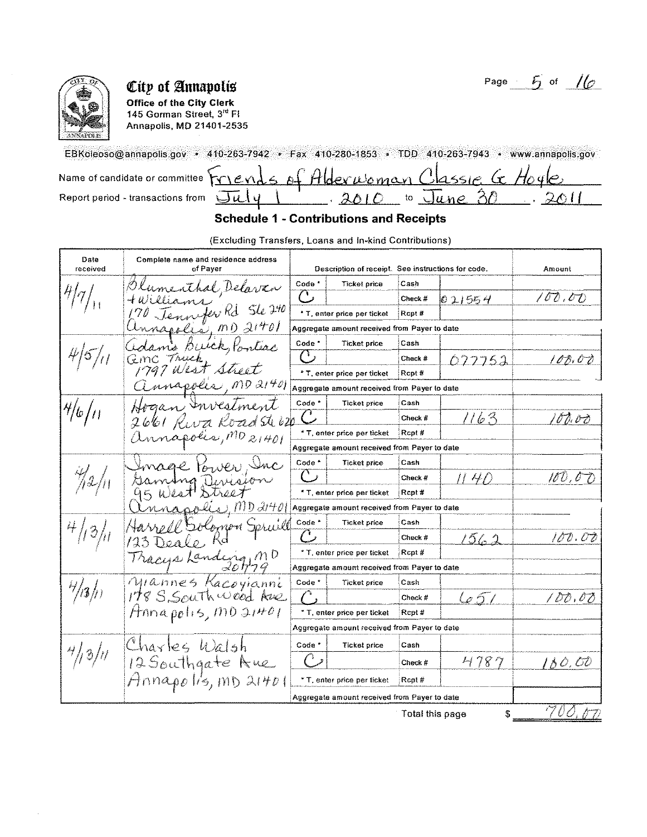

**Office of the City Clerk** 145 Gorman Street, 3<sup>rd</sup> Fl Annapolis, MD 21401-2535

EBKoleoso@annapolis.gov · 410-263-7942 · Fax 410-280-1853 · TDD 410-263-7943 · www.annapolis.gov Name of candidate or committee  $\overleftrightarrow{Y}$   $\in$   $\vee$ assie G Alderwoman Hoy  $\Lambda$ Report period - transactions from to June  $\mathcal{X}$  $\overline{\cup}\iota\iota\cup\iota$  $\partial$  $\overline{a}$ 

## **Schedule 1 - Contributions and Receipts**

(Excluding Transfers, Loans and In-kind Contributions)

| Date<br>received | Complete name and residence address<br>of Payer                                                                                       |                   | Description of receipt. See instructions for code. |                 |        | Amount                        |
|------------------|---------------------------------------------------------------------------------------------------------------------------------------|-------------------|----------------------------------------------------|-----------------|--------|-------------------------------|
|                  | lumenthal, Delavan                                                                                                                    | Code <sup>*</sup> | Ticket price                                       | Cash            |        |                               |
|                  | illiam                                                                                                                                | $\mathbb{C}$      |                                                    | Check#          | 021554 | 100.00                        |
|                  | Jennefer Rd Ste 240                                                                                                                   |                   | * T, enter price per ticket                        | Rcpt#           |        |                               |
|                  | mnapolis, MD 21401                                                                                                                    |                   | Aggregate amount received from Payer to date       |                 |        |                               |
|                  | damo Buick, Pontiac                                                                                                                   | Code *            | <b>Ticket price</b>                                | Cash            |        |                               |
|                  | Geme Truck                                                                                                                            | ( ) ,             |                                                    | Check #         | 077752 | 10D.OD                        |
|                  | 1797 West Street                                                                                                                      |                   | * T, enter price per ticket                        | Rept#           |        |                               |
|                  | annapolis, MD 21401                                                                                                                   |                   | Aggregate amount received from Payer to date       |                 |        |                               |
|                  | Hogan Investment                                                                                                                      | Code <sup>*</sup> | <b>Ticket price</b>                                | Cash            |        |                               |
| 4/6/11           | 2661 Riva Road Steb20                                                                                                                 |                   |                                                    | Check #         | 1163   | 100.00                        |
|                  | annapolis, MD 21401                                                                                                                   |                   | * T, enter price per ticket                        | Rept#           |        |                               |
|                  |                                                                                                                                       |                   | Aggregate amount received from Payer to date       |                 |        |                               |
|                  | mage tower, Inc                                                                                                                       | Code <sup>-</sup> | <b>Ticket price</b>                                | Cash            |        |                               |
| 72/11            | Gaming Devision                                                                                                                       | $\overline{C}$    |                                                    | Check #         | 11 4D  | 100,0 D                       |
|                  | 95 West Street                                                                                                                        |                   | * T, enter price per ticket                        | Rcpt#           |        |                               |
|                  | $n_{\mathcal{A}\mathcal{A}}$ $\rho \ell(i_4)$ , $m_{\mathcal{D}} \mathcal{J}_l + \rho$   Aggregate amount received from Payer to date |                   |                                                    |                 |        |                               |
|                  | rell Solomon Spruill                                                                                                                  | Code <sup>*</sup> | Ticket price                                       | Cash            |        |                               |
| 13/              | Deale,<br>723.                                                                                                                        |                   |                                                    | Check #         | 1562   | 100.00                        |
|                  | Tracys Landeng MD                                                                                                                     |                   | * T, enter price per ticket                        | Rcpt#           |        |                               |
|                  |                                                                                                                                       |                   | Aggregate amount received from Payer to date       |                 |        |                               |
|                  | Mannes Kacoyianni                                                                                                                     | Code <sup>*</sup> | <b>Ticket price</b>                                | Cash            |        |                               |
| 7/3/             | 178 S. South wood Aue                                                                                                                 |                   |                                                    | Check#          | 657    | $\mathit{DD}$ , $\mathit{OD}$ |
|                  | $H$ nna polis, MD $31$ <sup>HO</sup> l                                                                                                |                   | * T, enter price per ticket                        | Rept#           |        |                               |
|                  |                                                                                                                                       |                   | Aggregate amount received from Payer to date       |                 |        |                               |
|                  | Charles Walsh                                                                                                                         | Code <sup>*</sup> | <b>Ticket price</b>                                | Cash            |        |                               |
| 4/3/11           | 12 Southgate Aue                                                                                                                      |                   |                                                    | Check #         | 4787   | 180.00                        |
|                  | Hnnapo lis, mD 21401                                                                                                                  |                   | * T, enter price per ticket                        | Rcpt#           |        |                               |
|                  |                                                                                                                                       |                   | Aggregate amount received from Payer to date       |                 |        |                               |
|                  |                                                                                                                                       |                   |                                                    | Total thie nonn | ¢      | ウガオ<br>Arrival (              |

Total this page

Page  $-5$  of  $16$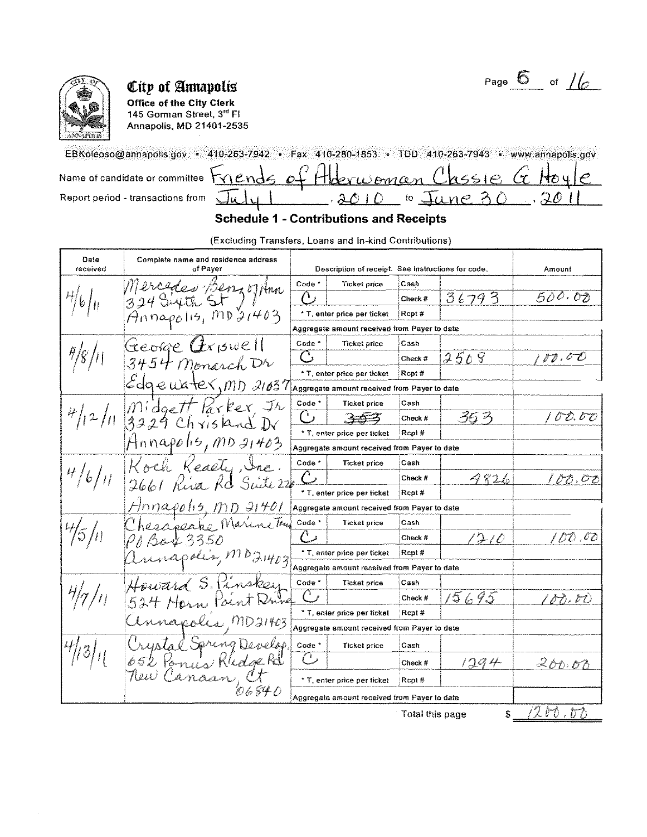

**Office of the City Clerk** 145 Gorman Street, 3<sup>rd</sup> Fl Annapolis, MD 21401-2535

EBKoleoso@annapolis.gov · 410-263-7942 · Fax 410-280-1853 · TDD 410-263-7943 · www.annapolis.gov Hoderwoman (1 Name of candidate or committee Mende  $165107$  $\mathcal{O}$ Report period - transactions from June  $3010$  $\mathfrak{t}\mathfrak{o}$ 

Page  $\overline{6}$  of  $/6$ 

#### **Schedule 1 - Contributions and Receipts**

(Excluding Transfers, Loans and In-kind Contributions)

| Date<br>received  | Complete name and residence address<br>of Payer |                     | Description of receipt. See instructions for code. |                 |       | Amount      |
|-------------------|-------------------------------------------------|---------------------|----------------------------------------------------|-----------------|-------|-------------|
|                   | Mercedes BenzoJAnn                              | Code <sup>*</sup>   | Ticket price                                       | Cash            |       |             |
| 761n              | $324$ Siyth St)                                 | $\overline{\Omega}$ |                                                    | Check #         | 36793 | 500.00      |
|                   | $An$ nopolis, $mp \frac{1}{2}1403$              |                     | * T, enter price per ticket                        | Rcpt#           |       |             |
|                   |                                                 |                     | Aggregate amount received from Payer to date       |                 |       |             |
|                   | George $Q$ r $\beta$ well                       | Code *              | <b>Ticket price</b>                                | Cash            |       |             |
|                   | $3454$ Monarch Dr                               | C                   |                                                    | Check #         | 2508  | 10.00       |
|                   |                                                 |                     | * T, enter price per ticket                        | Pcpt#           |       |             |
|                   | Edge useter, mp 21037                           |                     | Aggregate amount received from Payer to date       |                 |       |             |
|                   | Midgett Parker, Jr                              | Code <sup>*</sup>   | <b>Ticket price</b>                                | Cash            |       |             |
| 4/12/1            | $3229$ Chrisland Dr                             |                     |                                                    | Check #         | 353   | 00.00       |
|                   |                                                 |                     | * T, enter price per ticket                        | Rept#           |       |             |
|                   | Hnnapolis, MD 21403                             |                     | Aggregate amount received from Payer to date       |                 |       |             |
|                   | Koch Keasty, Inc.                               | Code <sup>*</sup>   | <b>Ticket price</b>                                | Cash            |       |             |
| 4/6/11            | 2661 Riva Rd Suite 22                           | $\curvearrowright$  |                                                    | Check #         | 4826  | 1 D O . O O |
|                   |                                                 |                     | * T, enter price per ticket                        | Rept#           |       |             |
|                   | $H$ nnapolis, $MD$ 21401                        |                     | Aggregate amount received from Payer to date       |                 |       |             |
|                   | Chesapeake Marine True                          | Code *              | <b>Ticket price</b>                                | Cash            |       |             |
| $\frac{4}{5}$ /11 | 6043350                                         |                     |                                                    | Check #         | 1210  | 100.00      |
|                   | mnapolis, MD21403                               |                     | * T, enter price per ticket                        | Rcpt#           |       |             |
|                   |                                                 |                     | Aggregate amount received from Payer to date       |                 |       |             |
|                   | ward S. Pinskey                                 | Code *              | Ticket price                                       | Cash            |       |             |
|                   | $534H$ Hern<br>Toent Nur                        |                     |                                                    | Check #         | 15695 | 188.80      |
|                   |                                                 |                     | * T, enter price per ticket                        | Rept#           |       |             |
|                   | napolis MD21403                                 |                     | Aggregate amount received from Payer to date       |                 |       |             |
|                   | wise Spring Develop                             | Code <sup>*</sup>   | Ticket price                                       | Cash            |       |             |
|                   | Paninkledge Rd                                  | ( ' )               |                                                    | Check #         | 1294  | 200.00      |
|                   | Canaar                                          |                     | * T, enter price per ticket                        | Rcpt#           |       |             |
|                   |                                                 |                     | Aggregate amount received from Payer to date       |                 |       |             |
|                   |                                                 |                     |                                                    | Total this page | \$    | (久) ひ , ひひ  |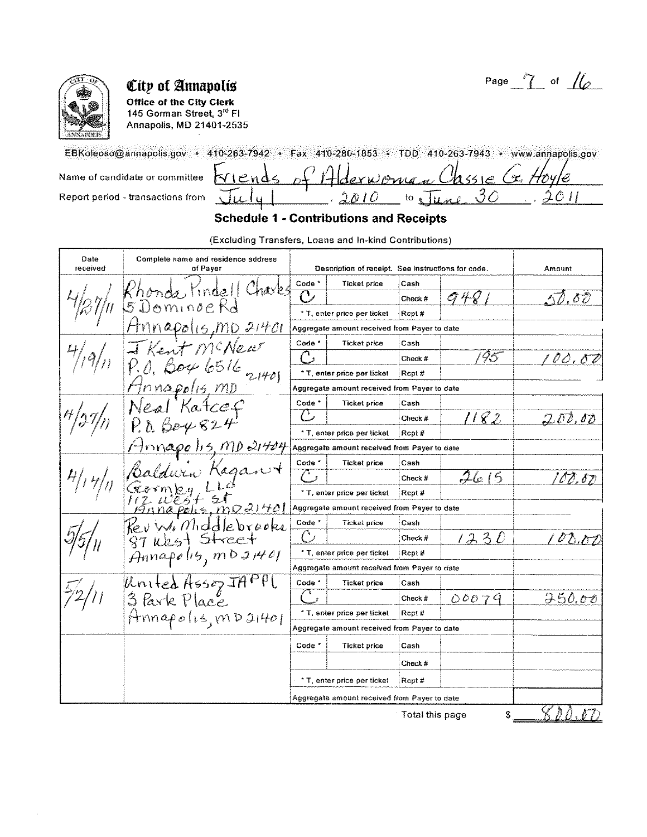

Office of the City Clerk 145 Gorman Street, 3rd FI Annapolis, MD 21401-2535

EBKoleoso@annapolis.gov • 410-263-7942 • Fax 410-280-1853 • TDD 410-263-7943 • www.annapolis.gov triends  $\omega$ Name of candidate or committee WAMA Ô, 3  $201$ Report period - transactions from to Tune  $\lambda$ D I D

## **Schedule 1 - Contributions and Receipts**

(Excluding Transfers, Loans and In-kind Contributions)

| Date<br>received | Complete name and residence address<br>of Payer |                   | Description of receipt. See instructions for code. |                 |       | Amount     |
|------------------|-------------------------------------------------|-------------------|----------------------------------------------------|-----------------|-------|------------|
|                  |                                                 | Code *            | <b>Ticket price</b>                                | Cash            |       |            |
|                  | Kindell Charles                                 | C                 |                                                    | Check #         | A 4 Q | . 8 ව      |
|                  | Dominge Ko                                      |                   | * T, enter price per ticket                        | Rcpt#           |       |            |
|                  |                                                 |                   | Aggregate amount received from Payer to date       |                 |       |            |
|                  | Kent MCNew                                      | Code *            | <b>Ticket price</b>                                | Cash            |       |            |
|                  |                                                 |                   |                                                    | Check #         | 95    | 00.00      |
|                  | 6516                                            |                   | * T, enter price per ticket                        | Rept#           |       |            |
|                  | nnapolis MD                                     |                   | Aggregate amount received from Payer to date       |                 |       |            |
|                  | Katce.                                          | Code <sup>*</sup> | Ticket price                                       | Cash            |       |            |
|                  |                                                 | $\mathbb{C}$      |                                                    | Check #         | 1182  | 200,00     |
|                  | P. 0.68482                                      |                   | * T, enter price per ticket                        | Rept#           |       |            |
|                  | $H$ nnapelis, MD 21404                          |                   | Aggregate amount received from Payer to date       |                 |       |            |
|                  |                                                 | Code <sup>*</sup> | <b>Ticket price</b>                                | Cash            |       |            |
|                  | $\chi$ aga                                      | G                 |                                                    | Check #         | 2615  | 100.80     |
|                  |                                                 |                   | * T, enter price per ticket                        | Rcpt#           |       |            |
|                  | 12 West 21<br>Bringpolis, mp21401               |                   | Aggregate amount received from Payer to date       |                 |       |            |
|                  | Kev W. Middlebrooks                             | Code <sup>*</sup> | <b>Ticket price</b>                                | Cash            |       |            |
|                  | 87 West Street                                  | $\bigcirc$        |                                                    | Check #         | 1230  | 00.07      |
|                  | $A$ nnapolit, mb 21401                          |                   | * T, enter price per ticket                        | Rcpt#           |       |            |
|                  |                                                 |                   | Aggregate amount received from Payer to date       |                 |       |            |
|                  | United Asson JAPPI                              | Code <sup>*</sup> | <b>Ticket price</b>                                | Cash            |       |            |
|                  | $3$ Park Place                                  |                   |                                                    | Check #         | 00079 | 250.00     |
|                  | Annapolus, mD21401                              |                   | * T, enter price per ticket                        | Rept#           |       |            |
|                  |                                                 |                   | Aggregate amount received from Payer to date       |                 |       |            |
|                  |                                                 | Code <sup>*</sup> | <b>Ticket price</b>                                | Cash            |       |            |
|                  |                                                 |                   |                                                    | Check $#$       |       |            |
|                  |                                                 |                   | * T, enter price per ticket                        | Rept#           |       |            |
|                  |                                                 |                   | Aggregate amount received from Payer to date       |                 |       |            |
|                  |                                                 |                   |                                                    | Total this page | \$    | $\sqrt{U}$ |

Total this page

800.OD

Page  $7$  of  $16$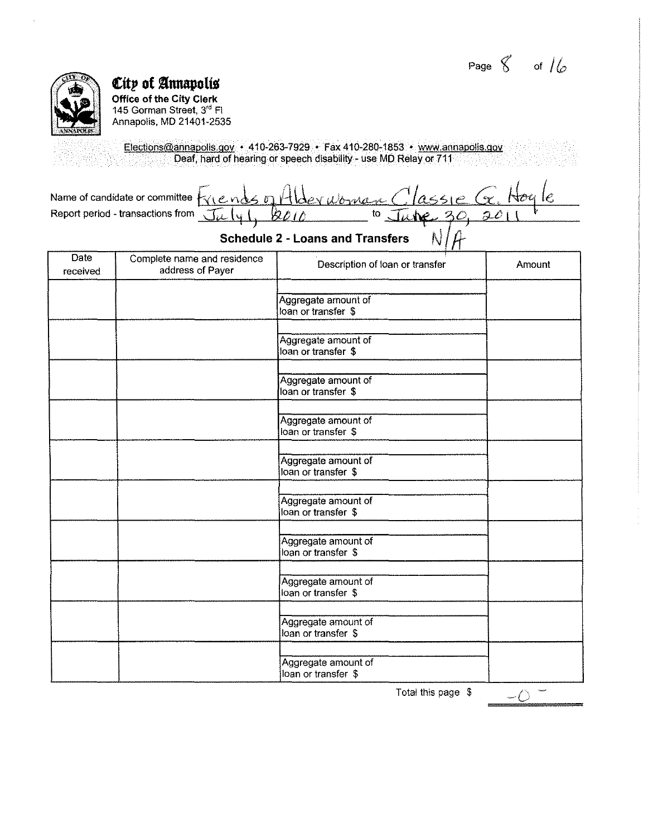Page  $\%$  of  $/$ 



**Cltp of annapoliS Office of the City Clerk**  145 Gorman Street, 3'' Fl Annapolis, MD 21401-2535

Elections@annapolis.gov • 410-263-7929 • Fax 410-280-1853 • www.annapolis.qoy Deaf, hard of hearing or speech disability- use MD Relay or 711

| Name of candidate or committee $f_{\gamma_1}$ ends of Hlder woman Classie $G$ . |  |                                 |  |
|---------------------------------------------------------------------------------|--|---------------------------------|--|
| Report period - transactions from $\pi_{\iota\iota}\mid_{\iota\iota}$           |  | $10$ , $74$ $10$ , $30$ , $201$ |  |

# Schedule 2 - Loans and Transfers  $N/f$

| <b>Date</b><br>received | Complete name and residence<br>address of Payer | Description of loan or transfer            | Amount |
|-------------------------|-------------------------------------------------|--------------------------------------------|--------|
|                         |                                                 | Aggregate amount of<br>loan or transfer \$ |        |
|                         |                                                 | Aggregate amount of<br>loan or transfer \$ |        |
|                         |                                                 | Aggregate amount of<br>loan or transfer \$ |        |
|                         |                                                 | Aggregate amount of<br>loan or transfer \$ |        |
|                         |                                                 | Aggregate amount of<br>loan or transfer \$ |        |
|                         |                                                 | Aggregate amount of<br>loan or transfer \$ |        |
|                         |                                                 | Aggregate amount of<br>loan or transfer \$ |        |
|                         |                                                 | Aggregate amount of<br>loan or transfer \$ |        |
|                         |                                                 | Aggregate amount of<br>loan or transfer \$ |        |
|                         |                                                 | Aggregate amount of<br>loan or transfer \$ |        |

Total this page  $$$ 

 $\frac{-\ddot{C}}{2}$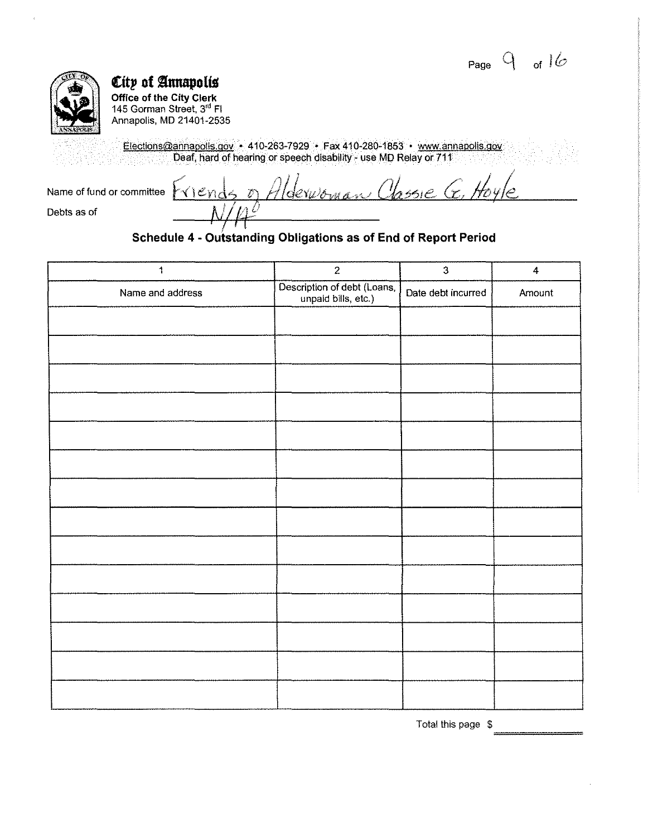Page  $9$  of  $16$ 



**City of Annapolis**<br>Office of the City Clerk<br>145 Gorman Street, 3<sup>rd</sup> Fl Annapolis, MD 21401-2535

Elections@annapolis.gov + 410-263-7929 + Fax 410-280-1853 + www.annapolis.gov<br>Deaf, hard of hearing or speech disability - use MD Relay or 711

|             | Name of fund or committee $\forall x$ $\in$ nds $\in$ Hlde $w$ oman Classie (x. |  |
|-------------|---------------------------------------------------------------------------------|--|
| Debts as of |                                                                                 |  |

## Schedule 4 - Outstanding Obligations as of End of Report Period

| $\ddagger$       | $\overline{2}$                                     | $\overline{3}$     | $\ddot{4}$ |
|------------------|----------------------------------------------------|--------------------|------------|
| Name and address | Description of debt (Loans,<br>unpaid bills, etc.) | Date debt incurred | Amount     |
|                  |                                                    |                    |            |
|                  |                                                    |                    |            |
|                  |                                                    |                    |            |
|                  |                                                    |                    |            |
|                  |                                                    |                    |            |
|                  |                                                    |                    |            |
|                  |                                                    |                    |            |
|                  |                                                    |                    |            |
|                  |                                                    |                    |            |
|                  |                                                    |                    |            |
|                  |                                                    |                    |            |
|                  |                                                    |                    |            |
|                  |                                                    |                    |            |
|                  |                                                    |                    |            |

Total this page \$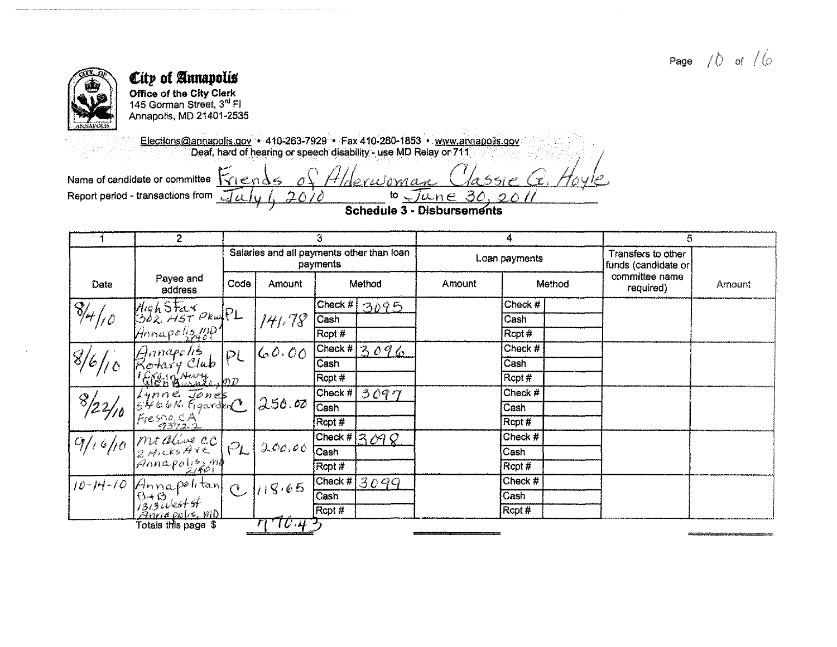

Office of the City Clerk<br>145 Gorman Street, 3<sup>rd</sup> Fl Annapolis, MD 21401-2535

Elections@annapolis.gov + 410-263-7929 + Fax 410-280-1853 + www.annapolis.gov<br>Deaf, hard of hearing or speech disability - use MD Relay or 711

 $\sqrt{1}$ 

 $2\triangle$ 

Hlderwoma

Name of candidate or committee  $\left[\sqrt{e^n}\right] \leq 0$ Report period - transactions from  $\overline{\sqrt{L}}$ 

 $to$   $\sqrt{u}$ ne 30  $\mathcal{D} \wedge \mathcal{D}$ Schedule 3 - Disbursements

 $6600$   $\widehat{r}$ 

|                 | $\overline{2}$                                                                                                                                         |              |                                           | 3        |                                 | 4             |           |  | 5                                         |        |
|-----------------|--------------------------------------------------------------------------------------------------------------------------------------------------------|--------------|-------------------------------------------|----------|---------------------------------|---------------|-----------|--|-------------------------------------------|--------|
|                 |                                                                                                                                                        |              | Salaries and all payments other than loan | payments |                                 | Loan payments |           |  | Transfers to other<br>funds (candidate or |        |
| Date            | Payee and<br>address                                                                                                                                   | Code         | Amount                                    | Method   |                                 | Amount        | Method    |  | committee name<br>required)               | Amount |
|                 |                                                                                                                                                        |              |                                           |          | [Check #] 3095                  |               | Check #   |  |                                           |        |
| $\sqrt{8/4}/10$ | High Star PrupL                                                                                                                                        |              | 141.78                                    | Cash     |                                 |               | Cash      |  |                                           |        |
|                 | Annapoliz PP                                                                                                                                           |              |                                           | Rcpt #   |                                 |               | Rcpt #    |  |                                           |        |
|                 | Hnnapolis                                                                                                                                              | PL           | 60.00                                     |          | $[Check \#]$ 3 0 9 6            |               | Check $#$ |  |                                           |        |
| $\frac{3}{6}$   | Kotary Club                                                                                                                                            |              |                                           | Cash     |                                 |               | Cash      |  |                                           |        |
|                 | Gray Hursterpp                                                                                                                                         |              |                                           | Ropt#    |                                 |               | Rept#     |  |                                           |        |
| 8/22/10         | $Lipne \overline{jønes}$                                                                                                                               |              |                                           | Check #  | 3097                            |               | Check #   |  |                                           |        |
|                 |                                                                                                                                                        |              | 250.00                                    | Cash     |                                 |               | Cash      |  |                                           |        |
|                 | Fvessoses                                                                                                                                              |              |                                           | Ropt #   |                                 |               | Rcpt #    |  |                                           |        |
| 911610          | Mt alive CC                                                                                                                                            |              |                                           |          | $\sqrt{\text{Check}\#[3,09,0]}$ |               | Check #   |  |                                           |        |
|                 |                                                                                                                                                        |              | 200,00                                    | Cash     |                                 |               | Cash      |  |                                           |        |
|                 | <i>Britagolisma</i>                                                                                                                                    |              |                                           | Rcpt #   |                                 |               | Rcpt #    |  |                                           |        |
| $10 - 14 - 10$  |                                                                                                                                                        |              | 118.65                                    | Check #  | 3099                            |               | Check #   |  |                                           |        |
|                 | $\begin{vmatrix} \frac{\partial}{\partial t} & \frac{\partial}{\partial t} \\ \frac{\partial}{\partial t} & \frac{\partial}{\partial t} \end{vmatrix}$ | $\mathsf{C}$ |                                           | Cash     |                                 |               | Cash      |  |                                           |        |
|                 | Annapolis, MD                                                                                                                                          |              |                                           | Rcpt #   |                                 |               | RCpt#     |  |                                           |        |
|                 | Totals this page \$                                                                                                                                    |              | 70.43                                     |          |                                 |               |           |  |                                           |        |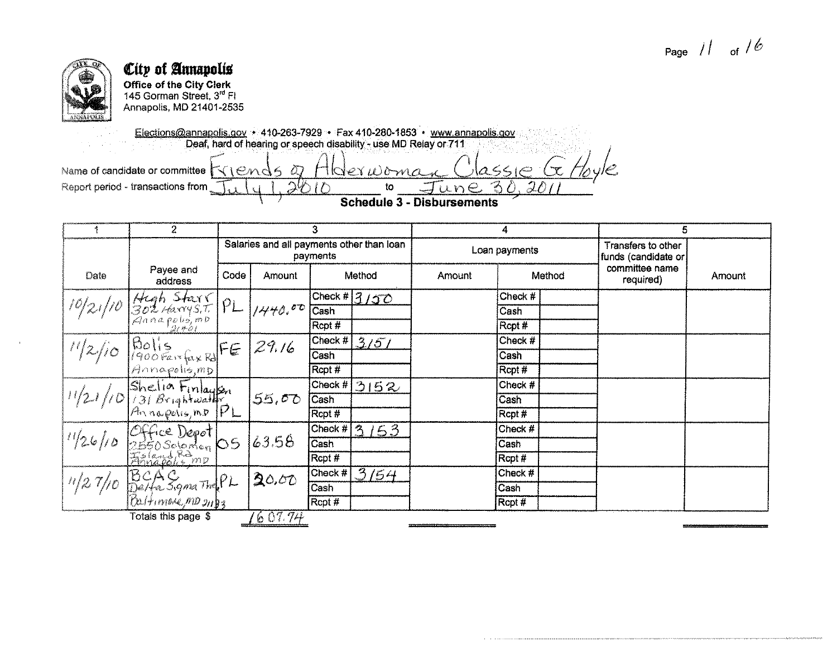

**Office of the City Clerk**<br>145 Gorman Street, 3<sup>rd</sup> Fl Annapolis, MD 21401-2535

Elections@annapolis.gov • 410-263-7929 • Fax 410-280-1853 • www.annapolis.gov<br>Deaf, hard of hearing or speech disability - use MD Relay or 711  $|a\leq c$ Name of candidate or committee  $\forall$  ( $end$ 5  $\varpi$ tlderwoma Report period - transactions from  $2\%$ to une -28  $\Gamma$ 

**Schedule 3 - Disbursements** 

|      | $\overline{2}$                                                                                                            |      |                                           | З                        |                                       | 4             |         |  | 5                                         |        |
|------|---------------------------------------------------------------------------------------------------------------------------|------|-------------------------------------------|--------------------------|---------------------------------------|---------------|---------|--|-------------------------------------------|--------|
|      |                                                                                                                           |      | Salaries and all payments other than loan | payments                 |                                       | Loan payments |         |  | Transfers to other<br>funds (candidate or |        |
| Date | Payee and<br>Jate<br>10/21/10 Jose Harry S.T. $PL$<br>2021 Hand polis, mp<br>21.401                                       | Code | Amount                                    | Method                   |                                       | Amount        | Method  |  | committee name<br>required)               | Amount |
|      |                                                                                                                           |      |                                           |                          | $\sqrt{\frac{C\text{heck}\#315C}{C}}$ |               | Check # |  |                                           |        |
|      |                                                                                                                           |      | 1440.001                                  | Cash                     |                                       |               | Cash    |  |                                           |        |
|      |                                                                                                                           |      |                                           | Rcpt #                   |                                       |               | Rcpt #  |  |                                           |        |
|      |                                                                                                                           |      |                                           |                          | Check # 3/5/                          |               | Check # |  |                                           |        |
|      |                                                                                                                           |      |                                           | Cash                     |                                       |               | Cash    |  |                                           |        |
|      | $\frac{1}{2}$ /10 $\begin{vmatrix} 80 & 6 \\ 900 & 6 \end{vmatrix}$ $\begin{vmatrix} 6 & 29.16 \\ 4000 & 6 \end{vmatrix}$ |      |                                           | Rcpt #                   |                                       |               | Rcpt#   |  |                                           |        |
|      | $\sqrt{\frac{1}{21}}$ /10 Shelia Finlayon 55,00                                                                           |      |                                           | Check #                  | 3152                                  |               | Check # |  |                                           |        |
|      |                                                                                                                           |      |                                           | Cash                     |                                       |               | Cash    |  |                                           |        |
|      |                                                                                                                           |      |                                           | Rcpt #                   |                                       |               | Rcpt #  |  |                                           |        |
|      | 1/26/10 Office Depot<br>2550 Solomon 05<br>Finapolis mu                                                                   |      |                                           | Check $#$                | 153<br>$\mathcal{P}_{\mathcal{A}}$    |               | Check # |  |                                           |        |
|      |                                                                                                                           |      | 63.58                                     | $\overline{\text{Cash}}$ |                                       |               | Cash    |  |                                           |        |
|      |                                                                                                                           |      |                                           | Rcpt #                   |                                       |               | Rcpt #  |  |                                           |        |
|      |                                                                                                                           |      | 20,00                                     | Check $#$                | $\sqrt{3/54}$                         |               | Check # |  |                                           |        |
|      | $\eta/27/10$ BCAS, gmather PL                                                                                             |      |                                           | Cash                     |                                       |               | Cash    |  |                                           |        |
|      | $[Ca/H$ <i>more</i> $mp$ $_{2}$                                                                                           |      |                                           | Rcpt#                    |                                       |               | Rcpt #  |  |                                           |        |
|      | Totals this nane_\$                                                                                                       |      | 160771                                    |                          |                                       |               |         |  |                                           |        |

tais เกเง paye o

 $1001.77$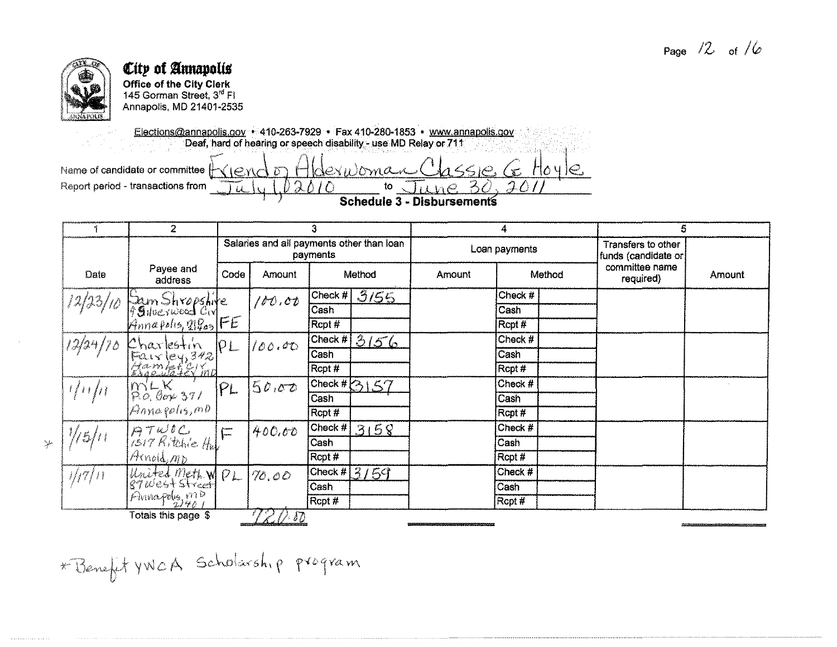

 $\frac{1}{\sqrt{2}}$ 

#### City of Annapolis **Office of the City Clerk**

145 Gorman Street, 3rd FI Annapolis, MD 21401-2535

 $\frac{1}{2}$ 

Elections@annapolis.gov + 410-263-7929 + Fax 410-280-1853 + www.annapolis.gov Deaf, hard of hearing or speech disability - use MD Relay or 711

dexistoman

 $\wedge$ i  $\wedge$ 

Name of candidate or committee  $\left|\neg\Diamond\right|\in\wedge\wedge\Diamond$ Report period - transactions from

**Schedule 3 - Disbursements** 

to.

 $1650666$ 

 $\mathcal{A}$ 

 $\overline{\mathcal{L}}$ 

 $H_0 \vee H_1 \in$ 

|               | 2                                                        |                           |                                           | З                        |                        | 4             |         |  | 5                                         |        |
|---------------|----------------------------------------------------------|---------------------------|-------------------------------------------|--------------------------|------------------------|---------------|---------|--|-------------------------------------------|--------|
|               |                                                          |                           | Salaries and all payments other than loan | payments                 |                        | Loan payments |         |  | Transfers to other<br>funds (candidate or |        |
| Date          | Payee and<br>address                                     | Code                      | Amount                                    | Method                   |                        | Amount        | Method  |  | committee name<br>required)               | Amount |
| 12/23/10      |                                                          |                           | 100.00                                    | Check #                  | 3155                   |               | Check # |  |                                           |        |
|               |                                                          |                           |                                           | $\overline{\text{Cash}}$ |                        |               | Cash    |  |                                           |        |
|               | Sam Shropshile<br>99 Nueswood Civ<br>Annapolis, 21203 FE |                           |                                           | Rcpt #                   |                        |               | Rcpt#   |  |                                           |        |
| 12/24/78      |                                                          | PL                        | 100.00                                    |                          | $\sqrt{C}$ heck # 3156 |               | Check # |  |                                           |        |
|               |                                                          |                           |                                           | Cash                     |                        |               | Cash    |  |                                           |        |
|               | Charlestin<br>Fairley, 342<br>Hamleteymp                 |                           |                                           | Rcpt #                   |                        |               | Rcpt#   |  |                                           |        |
| 1/11/11       |                                                          | PL                        | 50.00                                     |                          | [Check #2]157]         |               | Check # |  |                                           |        |
|               | $m_{0.6}^{V-K}$<br>P.O. Gov 371<br>Annagolis, mo         |                           |                                           | Cash                     |                        |               | Cash    |  |                                           |        |
|               |                                                          |                           |                                           | Rcpt #                   |                        |               | Rcpt#   |  |                                           |        |
|               | ATWOC (1)                                                | $\int_{-\infty}^{\infty}$ | 400,00                                    |                          | Check # $3158$         |               | Check # |  |                                           |        |
| $\frac{1}{5}$ |                                                          |                           |                                           | Cash                     |                        |               | Cash    |  |                                           |        |
|               | IArnold, MD                                              |                           |                                           | Rcpt #                   |                        |               | Rcpt#   |  |                                           |        |
| 1/7/11        | United Meth. WPL                                         |                           | 70,00                                     | Check #                  | 3159                   |               | Check # |  |                                           |        |
|               |                                                          |                           |                                           | Cash                     |                        |               | Cash    |  |                                           |        |
|               | Primapolis mp                                            |                           |                                           | Rcpt #                   |                        |               | Rcpt#   |  |                                           |        |
|               | Totals this page \$                                      |                           | 727.00                                    |                          |                        |               |         |  |                                           |        |

\* Benefit YWCA Scholarship program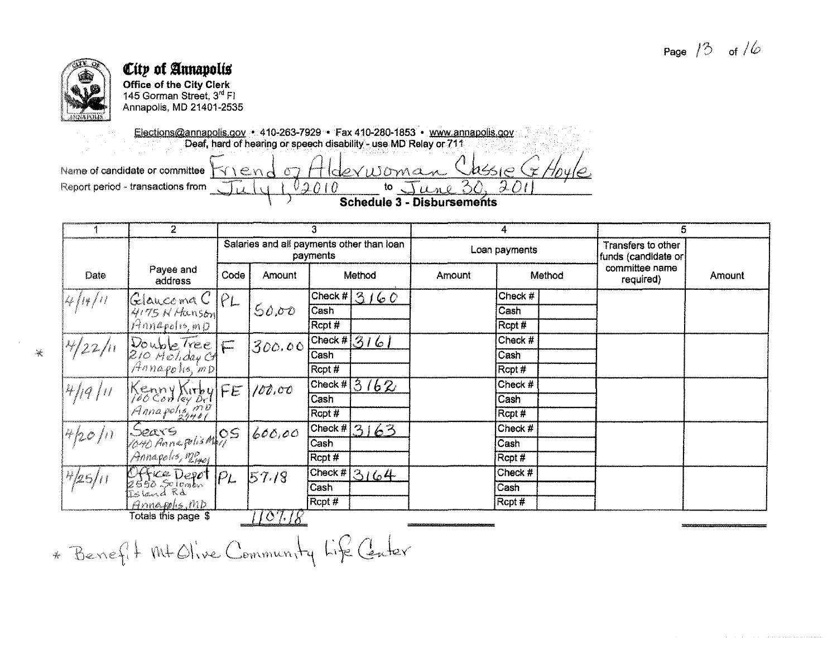

 $\mathcal{A}$ 

## City of Annapolis Office of the City Clerk

145 Gorman Street, 3<sup>rd</sup> Fl Annapolis, MD 21401-2535

Elections@annapolis.gov + 410-263-7929 + Fax 410-280-1853 + www.annapolis.gov Deaf, hard of hearing or speech disability - use MD Relay or 711  $Chase$ Ex Hou  $downa$ 

 $\sqrt{2}$ 

 $010$ 

Name of candidate or committee  $\forall \forall$  \  $\in$   $\land$   $\land$   $\sigma$   $\land$   $\vdash$ Report period - transactions from

Schedule 3 - Disbursements

 $\sim$  0

to

 $\mathcal{A}$ 

|             | 2                                                 |      |                                           | з                  |                                     | 4             |                   |  | 5                                         |               |
|-------------|---------------------------------------------------|------|-------------------------------------------|--------------------|-------------------------------------|---------------|-------------------|--|-------------------------------------------|---------------|
|             |                                                   |      | Salaries and all payments other than loan | payments           |                                     | Loan payments |                   |  | Transfers to other<br>funds (candidate or |               |
| <b>Date</b> | Payee and<br>address                              | Code | Amount                                    | Method             |                                     | Amount        | Method            |  | committee name<br>required)               | <b>Amount</b> |
| 14/14/11    | Glaucoma $C$ $PL$                                 |      |                                           |                    | $\overline{\text{Check H}}$ 3 / 6 0 |               | Check #           |  |                                           |               |
|             | 4175 N Hanson                                     |      | 50,00                                     | Cash               |                                     |               | Cash              |  |                                           |               |
|             | Annapohs, mp                                      |      |                                           | Rcpt#              |                                     |               | Rcpt <sup>#</sup> |  |                                           |               |
| 14/22/11    |                                                   |      | 300.00                                    |                    | $\sqrt{\text{Check}\#316}$          |               | Check #           |  |                                           |               |
|             |                                                   |      |                                           | Cash               |                                     |               | Cash              |  |                                           |               |
|             | Double Tree<br>210 Holday G<br>Annapolis, mp      |      |                                           | Rcpt #             |                                     |               | Rcpt#             |  |                                           |               |
| 4/19/11     |                                                   |      | 100,00                                    | $\mathsf{Check}\#$ | 3162                                |               | Check #           |  |                                           |               |
|             |                                                   |      |                                           | Cash               |                                     |               | Cash              |  |                                           |               |
|             | Kenny Kirby FE<br>Pocconley or FE<br>Annapolis MP |      |                                           | Rcpt#              |                                     |               | Rcpt#             |  |                                           |               |
| 4/20/11     |                                                   |      | 600,00                                    | [Check H]          | 3163                                |               | Check #           |  |                                           |               |
|             | Seave<br>1040 Annapolis May S                     |      |                                           | Cash               |                                     |               | Cash              |  |                                           |               |
|             | Annapolis, megol                                  |      |                                           | Rcpt #             |                                     |               | Rcpt#             |  |                                           |               |
| $H_{25/11}$ | Office Depot PL<br>2650 Solomon<br>Island Rd      |      | 57.18                                     | Check #            | 3164                                |               | Check #           |  |                                           |               |
|             |                                                   |      |                                           | Cash               |                                     |               | Cash              |  |                                           |               |
|             | Annapolis, MD                                     |      |                                           | Rcpt #             |                                     |               | Rcpt#             |  |                                           |               |
|             | Totals this page \$                               |      | 1107.18                                   |                    |                                     |               |                   |  |                                           |               |

\* Benefit Mt Olive Community Life Center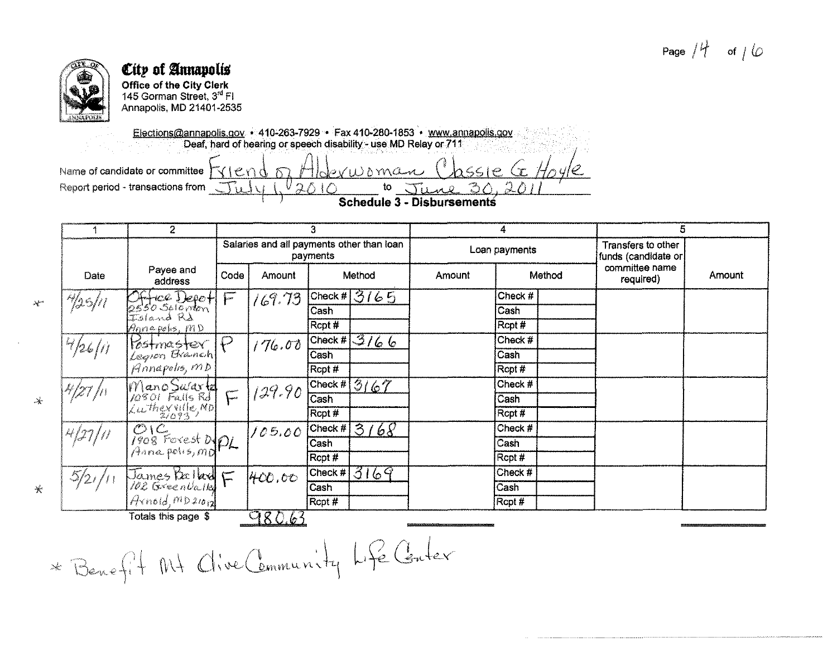# Page  $/4$  of  $/6$



 $\lambda^{\rm{max}}$ 

 $\mathcal{N}$ 

 $\ast$ 

# City of Annapolis

**Office of the City Clerk** 145 Gorman Street, 3rd FI Annapolis, MD 21401-2535

Elections@annapolis.gov • 410-263-7929 • Fax 410-280-1853 • www.annapolis.gov Deaf, hard of hearing or speech disability - use MD Relay or 711

 $V_{\mathcal{Q}}$ 

 $\triangle$  I $\triangle$ 

 $b$ viusman

to

Name of candidate or committee triend m Report period - transactions from  $\sqrt{11}$ 

 $\sqrt{11}$ **Schedule 3 - Disbursements** 

 $0.030$ 

 $s$ ssie G $H_0$ yle

|            | $\overline{2}$                                    |                           |               | 3                                                     |        |               | 5                                         |        |
|------------|---------------------------------------------------|---------------------------|---------------|-------------------------------------------------------|--------|---------------|-------------------------------------------|--------|
|            |                                                   |                           |               | Salaries and all payments other than loan<br>payments |        | Loan payments | Transfers to other<br>funds (candidate or |        |
| Date       | Payee and<br>address                              | Code                      | <b>Amount</b> | Method                                                | Amount | Method        | committee name<br>required)               | Amount |
| *125/11    |                                                   | $\sqrt{ }$                | (69.73)       | Check # 3165                                          |        | Check #       |                                           |        |
|            | Office Depot<br>2550 Salemon<br>Island Rd         |                           |               | Cash                                                  |        | Cash          |                                           |        |
|            | Annapolis, MD                                     |                           |               | Rcpt #                                                |        | Rcpt#         |                                           |        |
| 4/26/11    |                                                   | $\mathcal{P}$             | 176.00        | $\sqrt{Check\#3/66}$                                  |        | Check #       |                                           |        |
|            |                                                   |                           |               | Cash                                                  |        | Cash          |                                           |        |
|            | Vostmaster<br>Legron Branch<br>Annapolis, MD      |                           |               | Rcpt #                                                |        | Rcpt#         |                                           |        |
| '/27 /11   |                                                   |                           | 129.90        | $\sqrt{\text{Check}\#3}/67$                           |        | Check #       |                                           |        |
|            |                                                   | $\int_{-\infty}^{\infty}$ |               | $\overline{\text{Cash}}$                              |        | Cash          |                                           |        |
|            | Mano Sulartz<br>10801 Falls Rd<br>Luthex ville Mo |                           |               | Rcpt #                                                |        | Rcpt#         |                                           |        |
| 4 (27   11 |                                                   |                           | 105.00        | 68<br>Check $#$<br>$\Im$                              |        | Check $#$     |                                           |        |
|            | $O(C$<br>1908 Forest D <sub>PL</sub>              |                           |               | Cash                                                  |        | Cash          |                                           |        |
|            |                                                   |                           |               | Rcpt #                                                |        | Rcpt #        |                                           |        |
| 5/2/7      | James Belland F                                   |                           | 400,00        | 3169<br>Check $#$                                     |        | Check #       |                                           |        |
|            |                                                   |                           |               | Cash                                                  |        | Cash          |                                           |        |
|            | ArnoldmD2log                                      |                           |               | Rcpt #                                                |        | Rcpt #        |                                           |        |
|            | Totals this page \$                               |                           | 980.63        |                                                       |        |               |                                           |        |

\* Benefit Mt Clive Community Life Center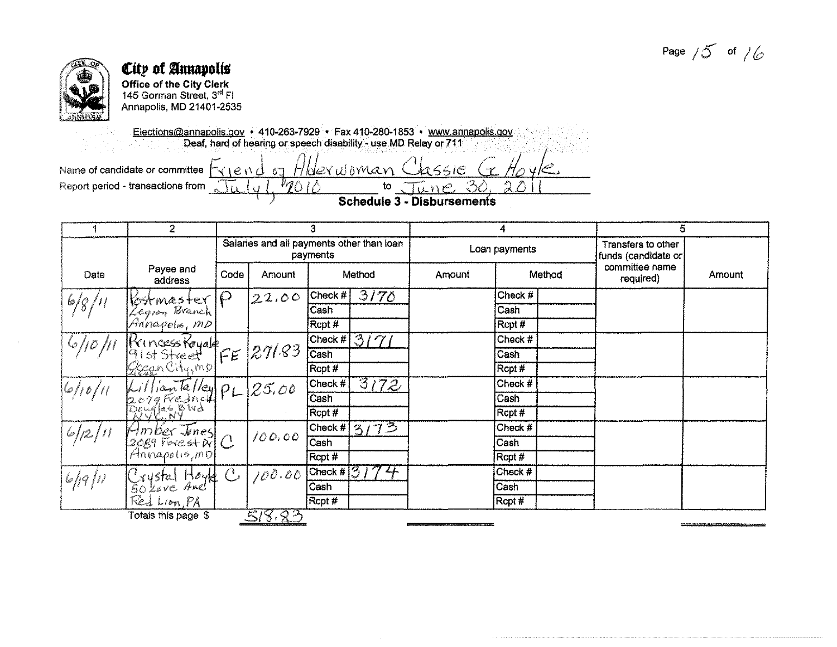Page  $/5$  of  $/6$ 



# City of Annapolis **Office of the City Clerk**<br>145 Gorman Street, 3<sup>rd</sup> Fl

Annapolis, MD 21401-2535

Elections@annapolis.gov • 410-263-7929 • Fax 410-280-1853 • www.annapolis.gov<br>Deaf, hard of hearing or speech disability - use MD Relay or 711

Name of candidate or committee  $\forall x \in \mathbb{R}$  or  $d_{\sigma}$ Hberwoman 2551C Report period - transactions from  $\mu_{\eta}$  $\mathsf{to}$ UNO  $\mathcal{L}$  $\sim$  10

**Schedule 3 - Disbursements** 

|               | $\overline{2}$                                         |                |                                           | З            |                 | 4             |         |        | 5                                         |        |
|---------------|--------------------------------------------------------|----------------|-------------------------------------------|--------------|-----------------|---------------|---------|--------|-------------------------------------------|--------|
|               |                                                        |                | Salaries and all payments other than loan | payments     |                 | Loan payments |         |        | Transfers to other<br>funds (candidate or |        |
| Date          | Payee and<br>address                                   | Code           | Amount                                    | Method       |                 | Amount        |         | Method | committee name<br>required)               | Amount |
|               | kostmaster                                             | $\mathcal P$   | 22,00                                     | Check #      | 3170            |               | Check # |        |                                           |        |
| $\frac{6}{8}$ | Legion Branch                                          |                |                                           | Cash         |                 |               | Cash    |        |                                           |        |
|               | Arinapolis, mp                                         |                |                                           | Rcpt #       |                 |               | Rcpt#   |        |                                           |        |
|               |                                                        |                |                                           |              | $ Check\#[3/7]$ |               | Check # |        |                                           |        |
|               |                                                        | FE             | 27/83                                     | Cash         |                 |               | Cash    |        |                                           |        |
|               | Princess Royale<br>91st Street<br>Gegen Citymp         |                |                                           | Rcpt #       |                 |               | Rcpt#   |        |                                           |        |
| 16/10/11      | EorgFredrick PLIn<br>EorgFredrick PLIn<br>Rouglas Blvd |                | 25.00                                     | Check #      | 3172            |               | Check # |        |                                           |        |
|               |                                                        |                |                                           | Cash         |                 |               | Cash    |        |                                           |        |
|               |                                                        |                |                                           | Rcpt #       |                 |               | Rcpt#   |        |                                           |        |
| 6/12/11       |                                                        |                |                                           | Chack #      | 13/73           |               | Check # |        |                                           |        |
|               | $Hmber$ $\overline{J}$ ines $\overline{C}$             |                | 100.00                                    | Cash         |                 |               | Cash    |        |                                           |        |
|               | Annapolis, mol                                         |                |                                           | Rcpt#        |                 |               | Rcpt #  |        |                                           |        |
|               |                                                        | $\mathbb{C}$ . | 100.00                                    | Check # $31$ | $2^{2}$         |               | Check # |        |                                           |        |
| $6/19$ $\mu$  | Krystal Hoyd                                           |                |                                           | Cash         |                 |               | Cash    |        |                                           |        |
|               | Red Lion, PA                                           |                |                                           | Rcpt #       |                 |               | Rcpt #  |        |                                           |        |
|               | Totals this page \$                                    |                | 518.83                                    |              |                 |               |         |        |                                           |        |